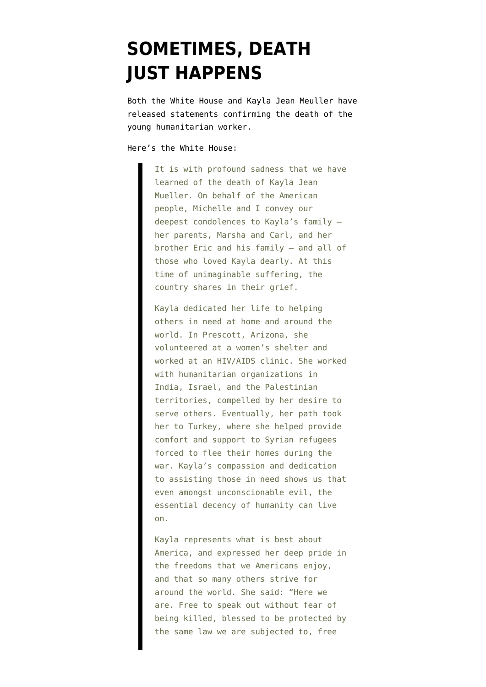## **[SOMETIMES, DEATH](https://www.emptywheel.net/2015/02/10/sometimes-death-just-happens/) [JUST HAPPENS](https://www.emptywheel.net/2015/02/10/sometimes-death-just-happens/)**

Both the White House and Kayla Jean Meuller have released statements confirming the death of the young humanitarian worker.

## Here's the White House:

It is with profound sadness that we have learned of the death of Kayla Jean Mueller. On behalf of the American people, Michelle and I convey our deepest condolences to Kayla's family – her parents, Marsha and Carl, and her brother Eric and his family – and all of those who loved Kayla dearly. At this time of unimaginable suffering, the country shares in their grief.

Kayla dedicated her life to helping others in need at home and around the world. In Prescott, Arizona, she volunteered at a women's shelter and worked at an HIV/AIDS clinic. She worked with humanitarian organizations in India, Israel, and the Palestinian territories, compelled by her desire to serve others. Eventually, her path took her to Turkey, where she helped provide comfort and support to Syrian refugees forced to flee their homes during the war. Kayla's compassion and dedication to assisting those in need shows us that even amongst unconscionable evil, the essential decency of humanity can live on.

Kayla represents what is best about America, and expressed her deep pride in the freedoms that we Americans enjoy, and that so many others strive for around the world. She said: "Here we are. Free to speak out without fear of being killed, blessed to be protected by the same law we are subjected to, free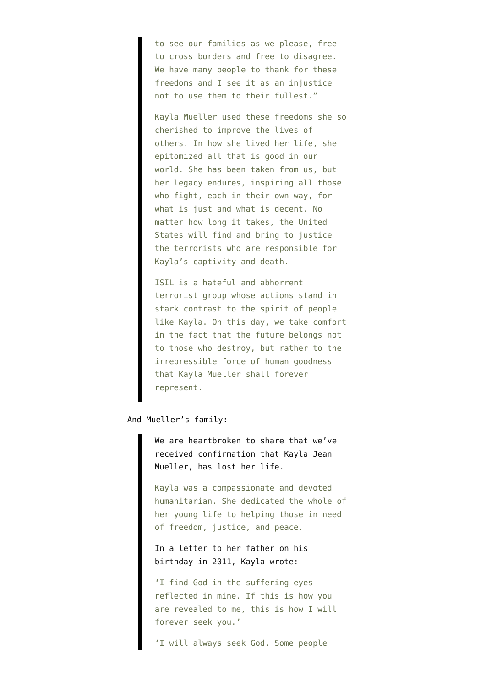to see our families as we please, free to cross borders and free to disagree. We have many people to thank for these freedoms and I see it as an injustice not to use them to their fullest."

Kayla Mueller used these freedoms she so cherished to improve the lives of others. In how she lived her life, she epitomized all that is good in our world. She has been taken from us, but her legacy endures, inspiring all those who fight, each in their own way, for what is just and what is decent. No matter how long it takes, the United States will find and bring to justice the terrorists who are responsible for Kayla's captivity and death.

ISIL is a hateful and abhorrent terrorist group whose actions stand in stark contrast to the spirit of people like Kayla. On this day, we take comfort in the fact that the future belongs not to those who destroy, but rather to the irrepressible force of human goodness that Kayla Mueller shall forever represent.

And Mueller's family:

We are heartbroken to share that we've received confirmation that Kayla Jean Mueller, has lost her life.

Kayla was a compassionate and devoted humanitarian. She dedicated the whole of her young life to helping those in need of freedom, justice, and peace.

In a letter to her father on his birthday in 2011, Kayla wrote:

'I find God in the suffering eyes reflected in mine. If this is how you are revealed to me, this is how I will forever seek you.'

'I will always seek God. Some people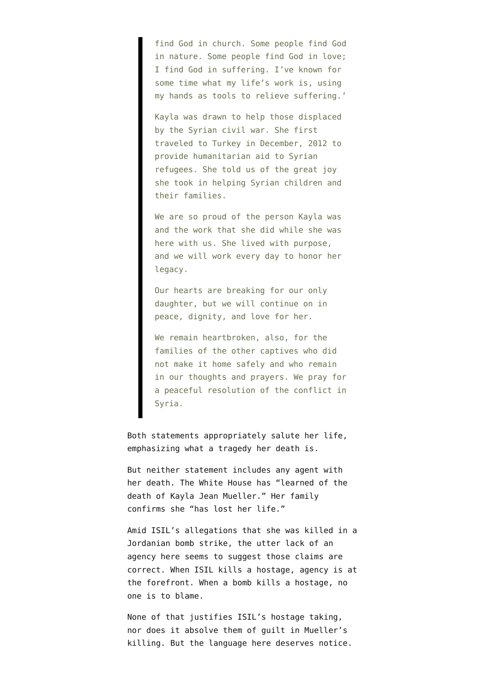find God in church. Some people find God in nature. Some people find God in love; I find God in suffering. I've known for some time what my life's work is, using my hands as tools to relieve suffering.'

Kayla was drawn to help those displaced by the Syrian civil war. She first traveled to Turkey in December, 2012 to provide humanitarian aid to Syrian refugees. She told us of the great joy she took in helping Syrian children and their families.

We are so proud of the person Kayla was and the work that she did while she was here with us. She lived with purpose, and we will work every day to honor her legacy.

Our hearts are breaking for our only daughter, but we will continue on in peace, dignity, and love for her.

We remain heartbroken, also, for the families of the other captives who did not make it home safely and who remain in our thoughts and prayers. We pray for a peaceful resolution of the conflict in Syria.

Both statements appropriately salute her life, emphasizing what a tragedy her death is.

But neither statement includes any agent with her death. The White House has "learned of the death of Kayla Jean Mueller." Her family confirms she "has lost her life."

Amid ISIL's allegations that she was killed in a Jordanian bomb strike, the utter lack of an agency here seems to suggest those claims are correct. When ISIL kills a hostage, agency is at the forefront. When a bomb kills a hostage, no one is to blame.

None of that justifies ISIL's hostage taking, nor does it absolve them of guilt in Mueller's killing. But the language here deserves notice.